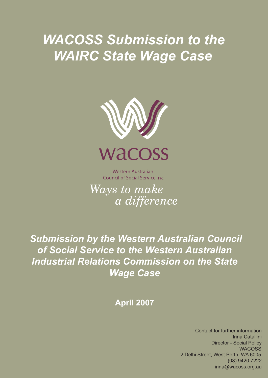# *WACOSS Submission to the WAIRC State Wage Case*



**Western Australian Council of Social Service Inc.** 

Ways to make a difference

 *Submission by the Western Australian Council of Social Service to the Western Australian Industrial Relations Commission on the State Wage Case*

**April 2007**

Contact for further information **Director - Social Policy** WACOSS 2 Delhi Street, West Perth, WA 6005 (08) 9420 7222  $irina@wacoss.org.au$ irina@wacoss.org.au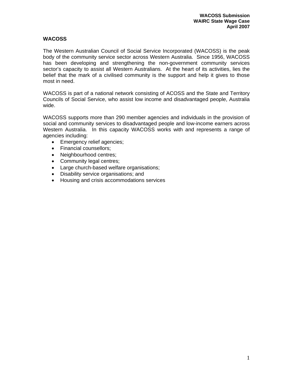#### **WACOSS**

The Western Australian Council of Social Service Incorporated (WACOSS) is the peak body of the community service sector across Western Australia. Since 1956, WACOSS has been developing and strengthening the non-government community services sector's capacity to assist all Western Australians. At the heart of its activities, lies the belief that the mark of a civilised community is the support and help it gives to those most in need.

WACOSS is part of a national network consisting of ACOSS and the State and Territory Councils of Social Service, who assist low income and disadvantaged people, Australia wide.

WACOSS supports more than 290 member agencies and individuals in the provision of social and community services to disadvantaged people and low-income earners across Western Australia. In this capacity WACOSS works with and represents a range of agencies including:

- Emergency relief agencies;
- Financial counsellors;
- Neighbourhood centres;
- Community legal centres;
- Large church-based welfare organisations;
- Disability service organisations; and
- Housing and crisis accommodations services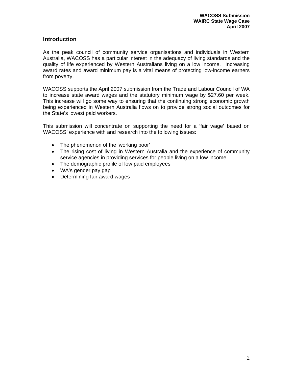#### **Introduction**

As the peak council of community service organisations and individuals in Western Australia, WACOSS has a particular interest in the adequacy of living standards and the quality of life experienced by Western Australians living on a low income. Increasing award rates and award minimum pay is a vital means of protecting low-income earners from poverty.

WACOSS supports the April 2007 submission from the Trade and Labour Council of WA to increase state award wages and the statutory minimum wage by \$27.60 per week. This increase will go some way to ensuring that the continuing strong economic growth being experienced in Western Australia flows on to provide strong social outcomes for the State's lowest paid workers.

This submission will concentrate on supporting the need for a 'fair wage' based on WACOSS' experience with and research into the following issues:

- The phenomenon of the 'working poor'
- The rising cost of living in Western Australia and the experience of community service agencies in providing services for people living on a low income
- The demographic profile of low paid employees
- WA's gender pay gap
- Determining fair award wages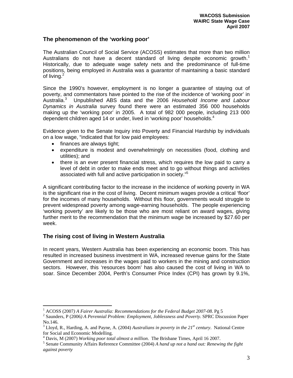#### **The phenomenon of the 'working poor'**

The Australian Council of Social Service (ACOSS) estimates that more than two million Australians do not have a decent standard of living despite economic growth.<sup>1</sup> Historically, due to adequate wage safety nets and the predominance of full-time positions, being employed in Australia was a guarantor of maintaining a basic standard of living. $2$ 

Since the 1990's however, employment is no longer a guarantee of staying out of poverty, and commentators have pointed to the rise of the incidence of 'working poor' in Australia.<sup>3</sup> Unpublished ABS data and the 2006 *Household Income and Labour Dynamics in Australia* survey found there were an estimated 356 000 households making up the 'working poor' in 2005. A total of 982 000 people, including 213 000 dependent children aged 14 or under, lived in 'working poor' households.<sup>4</sup>

Evidence given to the Senate Inquiry into Poverty and Financial Hardship by individuals on a low wage, "indicated that for low paid employees:

- finances are always tight;
- expenditure is modest and overwhelmingly on necessities (food, clothing and utilities); and
- there is an ever present financial stress, which requires the low paid to carry a level of debt in order to make ends meet and to go without things and activities associated with full and active participation in society."<sup>5</sup>

A significant contributing factor to the increase in the incidence of working poverty in WA is the significant rise in the cost of living. Decent minimum wages provide a critical 'floor' for the incomes of many households. Without this floor, governments would struggle to prevent widespread poverty among wage-earning households. The people experiencing 'working poverty' are likely to be those who are most reliant on award wages, giving further merit to the recommendation that the minimum wage be increased by \$27.60 per week.

#### **The rising cost of living in Western Australia**

 $\overline{a}$ 

In recent years, Western Australia has been experiencing an economic boom. This has resulted in increased business investment in WA, increased revenue gains for the State Government and increases in the wages paid to workers in the mining and construction sectors. However, this 'resources boom' has also caused the cost of living in WA to soar. Since December 2004, Perth's Consumer Price Index (CPI) has grown by 9.1%,

<sup>&</sup>lt;sup>1</sup> ACOSS (2007) A Fairer Australia: Recommendations for the Federal Budget 2007-08. Pg 5<br><sup>2</sup> Soundars B (2006) A Benemial Broblem: Employment, Joblessness and Boyerty, SBBC Disc

Saunders, P (2006*) A Perennial Problem: Employment, Joblessness and Poverty*. SPRC Discussion Paper No.146.

 $3$  Lloyd, R., Harding, A. and Payne, A. (2004) *Australians in poverty in the 21<sup>st</sup> century*. National Centre for Social and Economic Modelling.

<sup>&</sup>lt;sup>4</sup> Davis, M (2007) *Working poor total almost a million*. The Brisbane Times, April 16 2007.

Senate Community Affairs Reference Committee (2004) *A hand up not a hand out: Renewing the fight against poverty*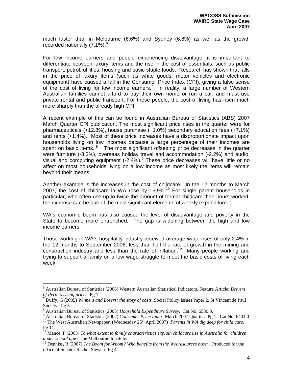much faster than in Melbourne (6.6%) and Sydney (6.8%) as well as the growth recorded nationally  $(7.1\%)$ <sup>6</sup>

For low income earners and people experiencing disadvantage, it is important to differentiate between luxury items and the rise in the cost of essentials; such as public transport, petrol, utilities, housing and basic staple foods. Research has shown that falls in the price of luxury items (such as white goods, motor vehicles and electronic equipment) have caused a fall in the Consumer Price Index (CPI), giving a false sense of the cost of living for low income earners.<sup>7</sup> In reality, a large number of Western Australian families cannot afford to buy their own home or run a car, and must use private rental and public transport. For these people, the cost of living has risen much more sharply than the already high CPI.

A recent example of this can be found in Australian Bureau of Statistics (ABS) 2007 March Quarter CPI publication. The most significant price rises in the quarter were for pharmaceuticals (+12.8%), house purchase (+1.0%) secondary education fees (+7.1%) and rents (+1.4%). Most of these price increases have a disproportionate impact upon households living on low incomes because a large percentage of their incomes are spent on basic items. <sup>8</sup> The most significant offsetting price decreases in the quarter were furniture (-3.3%), overseas holiday travel and accommodation (-2.2%) and audio, visual and computing equipment  $(-2.4\%)$ . These price decreases will have little or no affect on most households living on a low income as most likely the items will remain beyond their means.

Another example is the increases in the cost of childcare. In the 12 months to March 2007, the cost of childcare in WA rose by 15.9%.<sup>10</sup> For single parent households in particular, who often use up to twice the amount of formal childcare than hours worked, the expense can be one of the most significant elements of weekly expenditure.<sup>11</sup>

WA's economic boom has also caused the level of disadvantage and poverty in the State to become more entrenched. The gap is widening between the high and low income earners.

Those working in WA's hospitality industry received average wage rises of only 2.4% in the 12 months to September 2006, less than half the rate of growth in the mining and construction industry and less than the rate of inflation.<sup>12</sup> Many people working and trying to support a family on a low wage struggle to meet the basic costs of living each week.

 $\overline{a}$ 

<sup>6</sup> Australian Bureau of Statistics (2006) Western Australian Statistical Indicators, Feature Article: *Drivers of Perth's rising prices*. Pg 1. 7 Duffy, G (2005) *Winners and Losers: the story of costs*, Social Policy Issues Paper 2, St Vincent de Paul

Society. Pg 5

<sup>&</sup>lt;sup>8</sup> Australian Bureau of Statistics (2005) Household Expenditure Survey. Cat No. 6530.0.

<sup>&</sup>lt;sup>9</sup> Australian Bureau of Statistics (2007) *Consumer Price Index*, March 2007 Quarter. Pg 1. Cat No. 6401.0

<sup>&</sup>lt;sup>10</sup> The West Australian Newspaper. (Wednesday 25<sup>th</sup> April 2007) *Parents in WA dig deep for child care*. Pg 11.

<sup>11</sup> Mance, P (2005) *To what extent to family characteristics explain childcare use in Australia for children under school age?* The Melbourne Institute.<br><sup>12</sup> Denniss, R (2007) *The Boom for Whom? Who benefits from the WA resources boom*. Produced for the

office of Senator Rachel Siewert. Pg 4.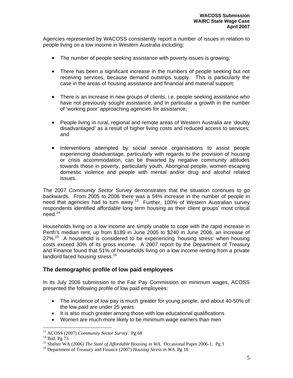Agencies represented by WACOSS consistently report a number of issues in relation to people living on a low income in Western Australia including:

- The number of people seeking assistance with poverty issues is growing;
- There has been a significant increase in the numbers of people seeking but not receiving services, because demand outstrips supply. This is particularly the case in the areas of housing assistance and financial and material support;
- There is an increase in new groups of clients, i.e. people seeking assistance who have not previously sought assistance, and in particular a growth in the number of 'working poor' approaching agencies for assistance;
- People living in rural, regional and remote areas of Western Australia are 'doubly disadvantaged' as a result of higher living costs and reduced access to services; and
- Interventions attempted by social service organisations to assist people experiencing disadvantage, particularly with regards to the provision of housing or crisis accommodation, can be thwarted by negative community attitudes towards those in poverty, particularly youth, Aboriginal people, women escaping domestic violence and people with mental and/or drug and alcohol related issues.

The 2007 *Community Sector Survey* demonstrates that the situation continues to go backwards. From 2005 to 2006 there was a 54% increase in the number of people in need that agencies had to turn away.<sup>13</sup> Further, 100% of Western Australian survey respondents identified affordable long term housing as their client groups' most critical need.14

Households living on a low income are simply unable to cope with the rapid increase in Perth's median rent, up from \$189 in June 2005 to \$240 in June 2006, an increase of  $27\%$ <sup>15</sup> A household is considered to be experiencing 'housing stress' when housing costs exceed 30% of its gross income. A 2007 report by the Department of Treasury and Finance found that 51% of households living on a low income renting from a private landlord faced housing stress.<sup>16</sup>

#### **The demographic profile of low paid employees**

In its July 2006 submission to the Fair Pay Commission on minimum wages, ACOSS presented the following profile of low paid employees:

- The incidence of low pay is much greater for young people, and about 40-50% of the low paid are under 25 years
- It is also much greater among those with low educational qualifications
- Women are much more likely to be minimum wage earners than men

 $\overline{a}$ <sup>13</sup> ACOSS (2007) *Community Sector Survey*. Pg 68<sup>14</sup> Ibid. Pg 73

<sup>&</sup>lt;sup>15</sup> Shelter WA (2006) *The State of Affordable Housing in WA*. Occasional Paper 2006-1. Pg 3<sup>16</sup> Department of Treasury and Finance (2007) *Housing Stress in WA*. Pg 18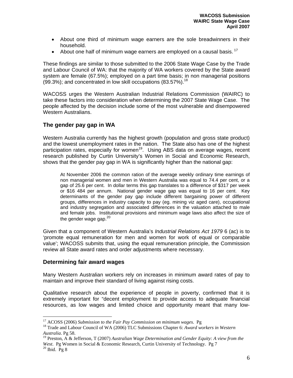- About one third of minimum wage earners are the sole breadwinners in their household.
- About one half of minimum wage earners are employed on a causal basis.  $17$

These findings are similar to those submitted to the 2006 State Wage Case by the Trade and Labour Council of WA: that the majority of WA workers covered by the State award system are female (67.5%); employed on a part time basis; in non managerial positions (99.3%); and concentrated in low skill occupations (83.57%).<sup>18</sup>

WACOSS urges the Western Australian Industrial Relations Commission (WAIRC) to take these factors into consideration when determining the 2007 State Wage Case. The people affected by the decision include some of the most vulnerable and disempowered Western Australians.

### **The gender pay gap in WA**

Western Australia currently has the highest growth (population and gross state product) and the lowest unemployment rates in the nation. The State also has one of the highest participation rates, especially for women<sup>19</sup>. Using ABS data on average wages, recent research published by Curtin University's Women in Social and Economic Research, shows that the gender pay gap in WA is significantly higher than the national gap:

At November 2006 the common ration of the average weekly ordinary time earnings of non managerial women and men in Western Australia was equal to 74.4 per cent, or a gap of 25.6 per cent. In dollar terms this gap translates to a difference of \$317 per week or \$16 484 per annum. National gender wage gap was equal to 16 per cent. Key determinants of the gender pay gap include different bargaining power of different groups, differences in industry capacity to pay (eg. mining viz aged care), occupational and industry segregation and associated differences in the valuation attached to male and female jobs. Institutional provisions and minimum wage laws also affect the size of the gender wage gap.<sup>20</sup>

Given that a component of Western Australia's *Industrial Relations Act 1979* 6 (ac) is to 'promote equal remuneration for men and women for work of equal or comparable value'; WACOSS submits that, using the equal remuneration principle, the Commission review all State award rates and order adjustments where necessary.

#### **Determining fair award wages**

Many Western Australian workers rely on increases in minimum award rates of pay to maintain and improve their standard of living against rising costs.

Qualitative research about the experience of people in poverty, confirmed that it is extremely important for "decent employment to provide access to adequate financial resources, as low wages and limited choice and opportunity meant that many low-

 $\overline{a}$ 

<sup>&</sup>lt;sup>17</sup> ACOSS (2006) *Submission to the Fair Pay Commission on minimum wages*. Pg<br><sup>18</sup> Trade and Labour Council of WA (2006) TLC Submissions Chapter 6: *Award workers in Western Australia*. Pg 58.

<sup>19</sup> Preston, A & Jefferson, T (2007) *Australian Wage Determination and Gender Equity: A view from the* 

*West*. Pg Women in Social & Economic Research, Curtin University of Technology. Pg 7<sup>20</sup> Ibid. Pg 8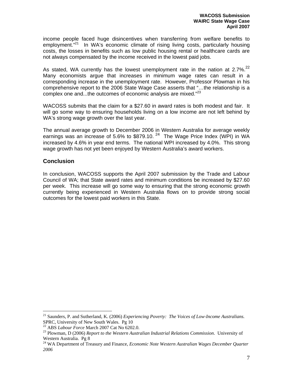income people faced huge disincentives when transferring from welfare benefits to employment."<sup>21</sup> In WA's economic climate of rising living costs, particularly housing costs, the losses in benefits such as low public housing rental or healthcare cards are not always compensated by the income received in the lowest paid jobs.

As stated, WA currently has the lowest unemployment rate in the nation at  $2.7\%$ <sup>22</sup> Many economists argue that increases in minimum wage rates can result in a corresponding increase in the unemployment rate. However, Professor Plowman in his comprehensive report to the 2006 State Wage Case asserts that "…the relationship is a complex one and...the outcomes of economic analysis are mixed."<sup>23</sup>

WACOSS submits that the claim for a \$27.60 in award rates is both modest and fair. It will go some way to ensuring households living on a low income are not left behind by WA's strong wage growth over the last year.

The annual average growth to December 2006 in Western Australia for average weekly earnings was an increase of 5.6% to \$879.10.  $24$  The Wage Price Index (WPI) in WA increased by 4.6% in year end terms. The national WPI increased by 4.0%. This strong wage growth has not yet been enjoyed by Western Australia's award workers.

#### **Conclusion**

 $\overline{a}$ 

In conclusion, WACOSS supports the April 2007 submission by the Trade and Labour Council of WA; that State award rates and minimum conditions be increased by \$27.60 per week. This increase will go some way to ensuring that the strong economic growth currently being experienced in Western Australia flows on to provide strong social outcomes for the lowest paid workers in this State.

<sup>21</sup> Saunders, P. and Sutherland, K. (2006) *Experiencing Poverty: The Voices of Low-Income Australians*. SPRC, University of New South Wales. Pg 10<br><sup>22</sup> ABS *Labour Force* March 2007 Cat No 6202.0.

<sup>&</sup>lt;sup>23</sup> Plowman, D (2006) *Report to the Western Australian Industrial Relations Commission*. University of Western Australia. Pg 8

<sup>&</sup>lt;sup>24</sup> WA Department of Treasury and Finance, *Economic Note Western Australian Wages December Quarter 2006*